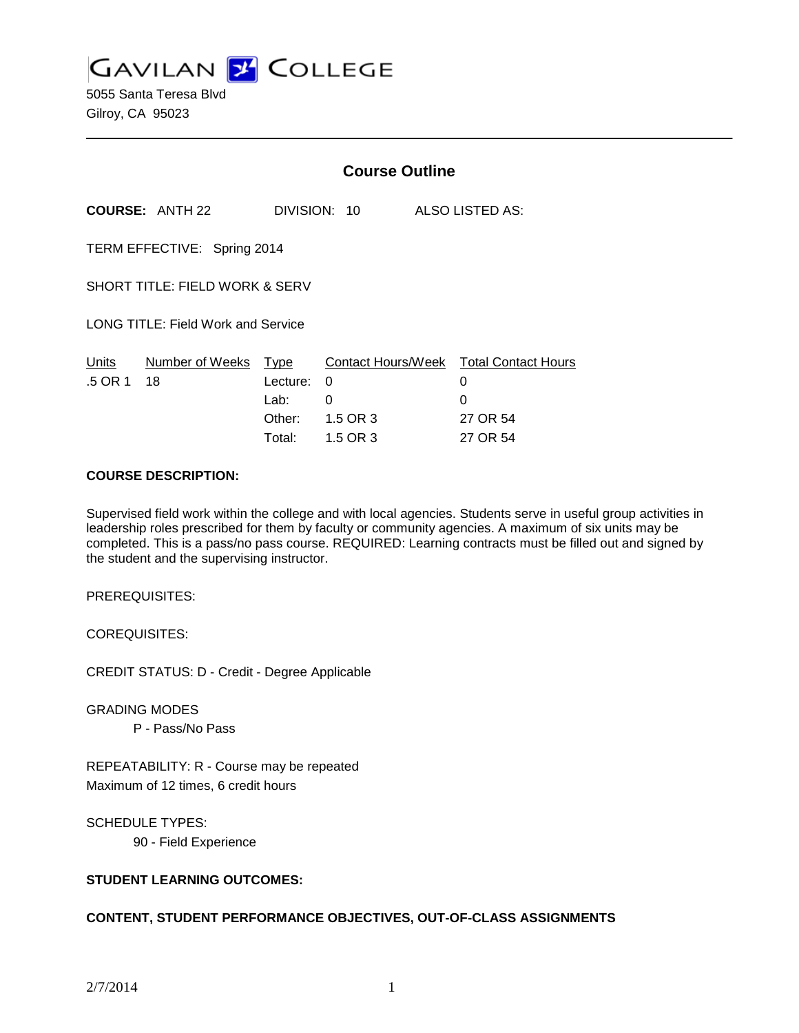**GAVILAN Z COLLEGE** 

5055 Santa Teresa Blvd Gilroy, CA 95023

|                                           |                        | <b>Course Outline</b>              |                    |  |                                                              |
|-------------------------------------------|------------------------|------------------------------------|--------------------|--|--------------------------------------------------------------|
|                                           | <b>COURSE: ANTH 22</b> |                                    | DIVISION: 10       |  | ALSO LISTED AS:                                              |
| TERM EFFECTIVE: Spring 2014               |                        |                                    |                    |  |                                                              |
| SHORT TITLE: FIELD WORK & SERV            |                        |                                    |                    |  |                                                              |
| <b>LONG TITLE: Field Work and Service</b> |                        |                                    |                    |  |                                                              |
| Units<br>.5 OR 1                          | Number of Weeks<br>18  | Type<br>Lecture:<br>Lab:<br>Other: | 0<br>0<br>1.5 OR 3 |  | Contact Hours/Week Total Contact Hours<br>0<br>0<br>27 OR 54 |
|                                           |                        | Total:                             | 1.5 OR 3           |  | 27 OR 54                                                     |

#### **COURSE DESCRIPTION:**

Supervised field work within the college and with local agencies. Students serve in useful group activities in leadership roles prescribed for them by faculty or community agencies. A maximum of six units may be completed. This is a pass/no pass course. REQUIRED: Learning contracts must be filled out and signed by the student and the supervising instructor.

PREREQUISITES:

COREQUISITES:

CREDIT STATUS: D - Credit - Degree Applicable

GRADING MODES

P - Pass/No Pass

REPEATABILITY: R - Course may be repeated Maximum of 12 times, 6 credit hours

SCHEDULE TYPES:

90 - Field Experience

# **STUDENT LEARNING OUTCOMES:**

### **CONTENT, STUDENT PERFORMANCE OBJECTIVES, OUT-OF-CLASS ASSIGNMENTS**